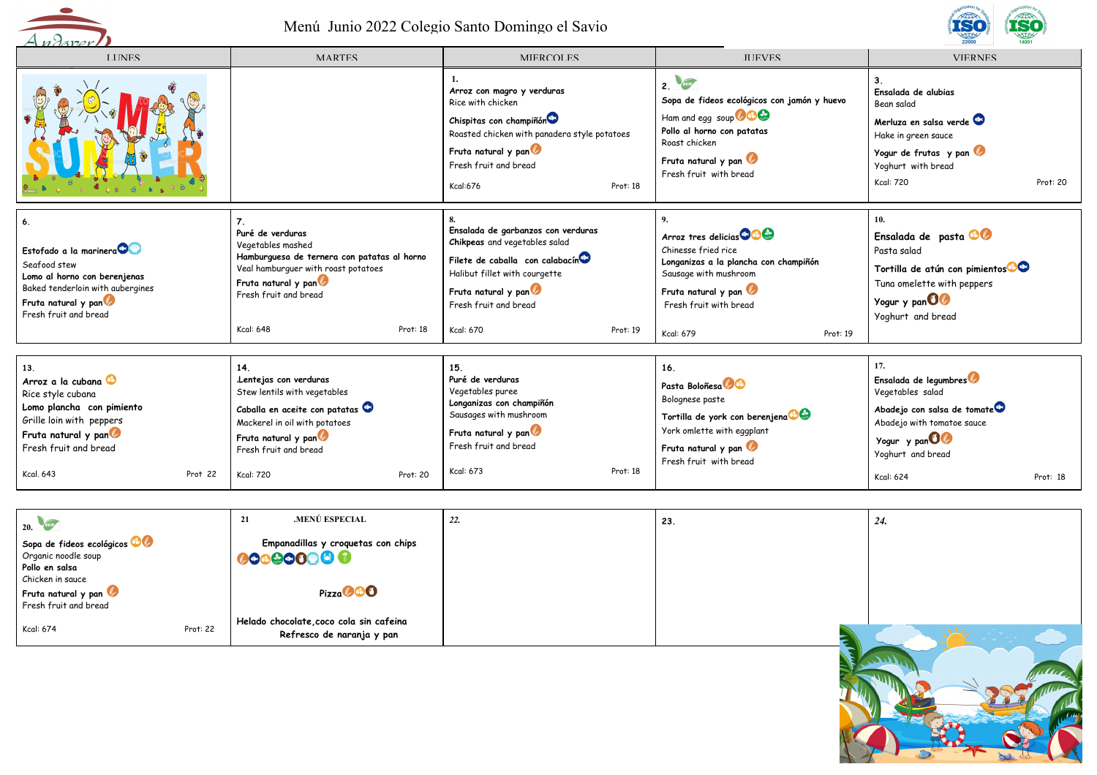



| <b>LINES</b>                                                                                                                                                                          | <b>MARTES</b>                                                                                                                                                                                                   | MIERCOLES                                                                                                                                                                                                        | <b>ILIEVES</b>                                                                                                                                                                                                 | <b>VIERNES</b>                                                                                                                                                                       |
|---------------------------------------------------------------------------------------------------------------------------------------------------------------------------------------|-----------------------------------------------------------------------------------------------------------------------------------------------------------------------------------------------------------------|------------------------------------------------------------------------------------------------------------------------------------------------------------------------------------------------------------------|----------------------------------------------------------------------------------------------------------------------------------------------------------------------------------------------------------------|--------------------------------------------------------------------------------------------------------------------------------------------------------------------------------------|
|                                                                                                                                                                                       |                                                                                                                                                                                                                 | Arroz con magro y verduras<br>Rice with chicken<br>Chispitas con champiñón<br>Roasted chicken with panadera style potatoes<br>Fruta natural y pan<br>Fresh fruit and bread<br>Kcal:676<br>Prot: 18               | eco<br>2.<br>Sopa de fideos ecológicos con jamón y huevo<br>Ham and egg soup <b>600</b><br>Pollo al horno con patatas<br>Roast chicken<br>Fruta natural y pan<br>Fresh fruit with bread                        | Ensalada de alubias<br>Bean salad<br>Merluza en salsa verde<br>Hake in green sauce<br>Yogur de frutas y pan<br>Yoghurt with bread<br><b>Kcal: 720</b><br>Prot: 20                    |
| 6.<br>Estofado a la marinera<br>Seafood stew<br>Lomo al horno con berenjenas<br>Baked tenderloin with aubergines<br>Fruta natural y pan<br>Fresh fruit and bread                      | Puré de verduras<br>Vegetables mashed<br>Hamburguesa de ternera con patatas al horno<br>Veal hamburguer with roast potatoes<br>Fruta natural y pan<br>Fresh fruit and bread<br><b>Kcal: 648</b><br>Prot: 18     | Ensalada de garbanzos con verduras<br>Chikpeas and vegetables salad<br>Filete de caballa con calabacín<br>Halibut fillet with courgette<br>Fruta natural y pan<br>Fresh fruit and bread<br>Kcal: 670<br>Prot: 19 | Arroz tres delicias <sup>co</sup> Co<br>Chinesse fried rice<br>Longanizas a la plancha con champiñón<br>Sausage with mushroom<br>Fruta natural y pan<br>Fresh fruit with bread<br><b>Kcal: 679</b><br>Prot: 19 | 10.<br>Ensalada de pasta <b>CO</b><br>Pasta salad<br>Tortilla de atún con pimientos <sup>63</sup><br>Tuna omelette with peppers<br>Yogur y pan 00<br>Yoghurt and bread               |
| 13.<br>Arroz a la cubana<br>Rice style cubana<br>Lomo plancha con pimiento<br>Grille loin with peppers<br>Fruta natural y pan<br>Fresh fruit and bread<br><b>Kcal, 643</b><br>Prot 22 | 14.<br>.Lentejas con verduras<br>Stew lentils with vegetables<br>Caballa en aceite con patatas<br>Mackerel in oil with potatoes<br>Fruta natural y pan<br>Fresh fruit and bread<br><b>Kcal: 720</b><br>Prot: 20 | 15.<br>Puré de verduras<br>Vegetables puree<br>Longanizas con champiñón<br>Sausages with mushroom<br>Fruta natural y pan<br>Fresh fruit and bread<br>Kcal: 673<br>Prot: 18                                       | 16.<br>Pasta Boloñesa <sup>0</sup><br>Bolognese paste<br>Tortilla de york con berenjena <sup>00</sup><br>York omlette with eggplant<br>Fruta natural y pan<br>Fresh fruit with bread                           | 17.<br>Ensalada de legumbres<br>Vegetables salad<br>Abadejo con salsa de tomate<br>Abadejo with tomatoe sauce<br>Yogur y pan 00<br>Yoghurt and bread<br><b>Kcal: 624</b><br>Prot: 18 |

| 20.                                 |          | .MENÚ ESPECIAL<br>21                   | 22. | 23. | 24. |
|-------------------------------------|----------|----------------------------------------|-----|-----|-----|
| Sopa de fideos ecológicos <b>OO</b> |          | Empanadillas y croquetas con chips     |     |     |     |
| Organic noodle soup                 |          | 000000000                              |     |     |     |
| Pollo en salsa                      |          |                                        |     |     |     |
| Chicken in sauce                    |          |                                        |     |     |     |
| Fruta natural y pan                 |          | Pizza <b>OOO</b>                       |     |     |     |
| Fresh fruit and bread               |          |                                        |     |     |     |
| Kcal: 674                           |          | Helado chocolate,coco cola sin cafeina |     |     |     |
|                                     | Prot: 22 | Refresco de naranja y pan              |     |     |     |
|                                     |          |                                        |     |     |     |
|                                     |          |                                        |     |     |     |
|                                     |          |                                        |     |     |     |